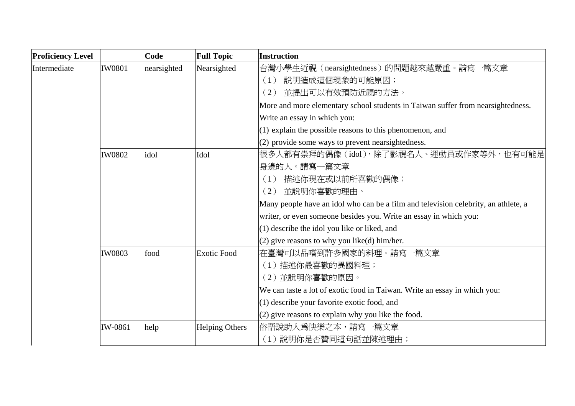| <b>Proficiency Level</b> |               | Code        | <b>Full Topic</b>     | Instruction                                                                        |
|--------------------------|---------------|-------------|-----------------------|------------------------------------------------------------------------------------|
| Intermediate             | <b>IW0801</b> | nearsighted | Nearsighted           | 台灣小學生近視(nearsightedness)的問題越來越嚴重。請寫一篇文章                                            |
|                          |               |             |                       | 說明造成這個現象的可能原因;<br>(1)                                                              |
|                          |               |             |                       | 並提出可以有效預防近視的方法。<br>(2)                                                             |
|                          |               |             |                       | More and more elementary school students in Taiwan suffer from nearsightedness.    |
|                          |               |             |                       | Write an essay in which you:                                                       |
|                          |               |             |                       | (1) explain the possible reasons to this phenomenon, and                           |
|                          |               |             |                       | (2) provide some ways to prevent nearsightedness.                                  |
|                          | <b>IW0802</b> | idol        | Idol                  | 很多人都有崇拜的偶像(idol),除了影視名人、運動員或作家等外,也有可能是                                             |
|                          |               |             |                       | 身邊的人。請寫一篇文章                                                                        |
|                          |               |             |                       | 描述你現在或以前所喜歡的偶像;<br>(1)                                                             |
|                          |               |             |                       | 並說明你喜歡的理由。<br>(2)                                                                  |
|                          |               |             |                       | Many people have an idol who can be a film and television celebrity, an athlete, a |
|                          |               |             |                       | writer, or even someone besides you. Write an essay in which you:                  |
|                          |               |             |                       | $(1)$ describe the idol you like or liked, and                                     |
|                          |               |             |                       | $(2)$ give reasons to why you like(d) him/her.                                     |
|                          | <b>IW0803</b> | food        | <b>Exotic Food</b>    | 在臺灣可以品嚐到許多國家的料理。請寫一篇文章                                                             |
|                          |               |             |                       | (1) 描述你最喜歡的異國料理;                                                                   |
|                          |               |             |                       | (2) 並說明你喜歡的原因。                                                                     |
|                          |               |             |                       | We can taste a lot of exotic food in Taiwan. Write an essay in which you:          |
|                          |               |             |                       | (1) describe your favorite exotic food, and                                        |
|                          |               |             |                       | $(2)$ give reasons to explain why you like the food.                               |
|                          | IW-0861       | help        | <b>Helping Others</b> | 俗語說助人爲快樂之本,請寫一篇文章                                                                  |
|                          |               |             |                       | (1) 說明你是否贊同這句話並陳述理由;                                                               |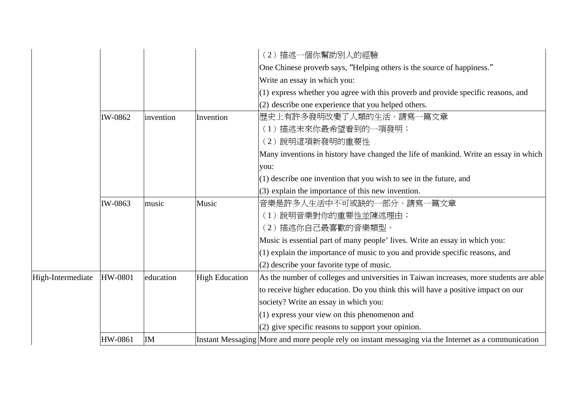|                   |         |           |                       | (2) 描述一個你幫助別人的經驗                                                                                     |
|-------------------|---------|-----------|-----------------------|------------------------------------------------------------------------------------------------------|
|                   |         |           |                       | One Chinese proverb says, "Helping others is the source of happiness."                               |
|                   |         |           |                       | Write an essay in which you:                                                                         |
|                   |         |           |                       | (1) express whether you agree with this proverb and provide specific reasons, and                    |
|                   |         |           |                       | (2) describe one experience that you helped others.                                                  |
|                   | IW-0862 | invention | Invention             | 歷史上有許多發明改變了人類的生活。請寫一篇文章                                                                              |
|                   |         |           |                       | (1) 描述未來你最希望看到的一項發明;                                                                                 |
|                   |         |           |                       | (2) 說明這項新發明的重要性                                                                                      |
|                   |         |           |                       | Many inventions in history have changed the life of mankind. Write an essay in which                 |
|                   |         |           |                       | you:                                                                                                 |
|                   |         |           |                       | $(1)$ describe one invention that you wish to see in the future, and                                 |
|                   |         |           |                       | (3) explain the importance of this new invention.                                                    |
|                   | IW-0863 | music     | Music                 | 音樂是許多人生活中不可或缺的一部分。請寫一篇文章                                                                             |
|                   |         |           |                       | (1) 說明音樂對你的重要性並陳述理由;                                                                                 |
|                   |         |           |                       | (2) 描述你自己最喜歡的音樂類型。                                                                                   |
|                   |         |           |                       | Music is essential part of many people' lives. Write an essay in which you:                          |
|                   |         |           |                       | (1) explain the importance of music to you and provide specific reasons, and                         |
|                   |         |           |                       | (2) describe your favorite type of music.                                                            |
| High-Intermediate | HW-0801 | education | <b>High Education</b> | As the number of colleges and universities in Taiwan increases, more students are able               |
|                   |         |           |                       | to receive higher education. Do you think this will have a positive impact on our                    |
|                   |         |           |                       | society? Write an essay in which you:                                                                |
|                   |         |           |                       | (1) express your view on this phenomenon and                                                         |
|                   |         |           |                       | (2) give specific reasons to support your opinion.                                                   |
|                   | HW-0861 | IM        |                       | Instant Messaging More and more people rely on instant messaging via the Internet as a communication |